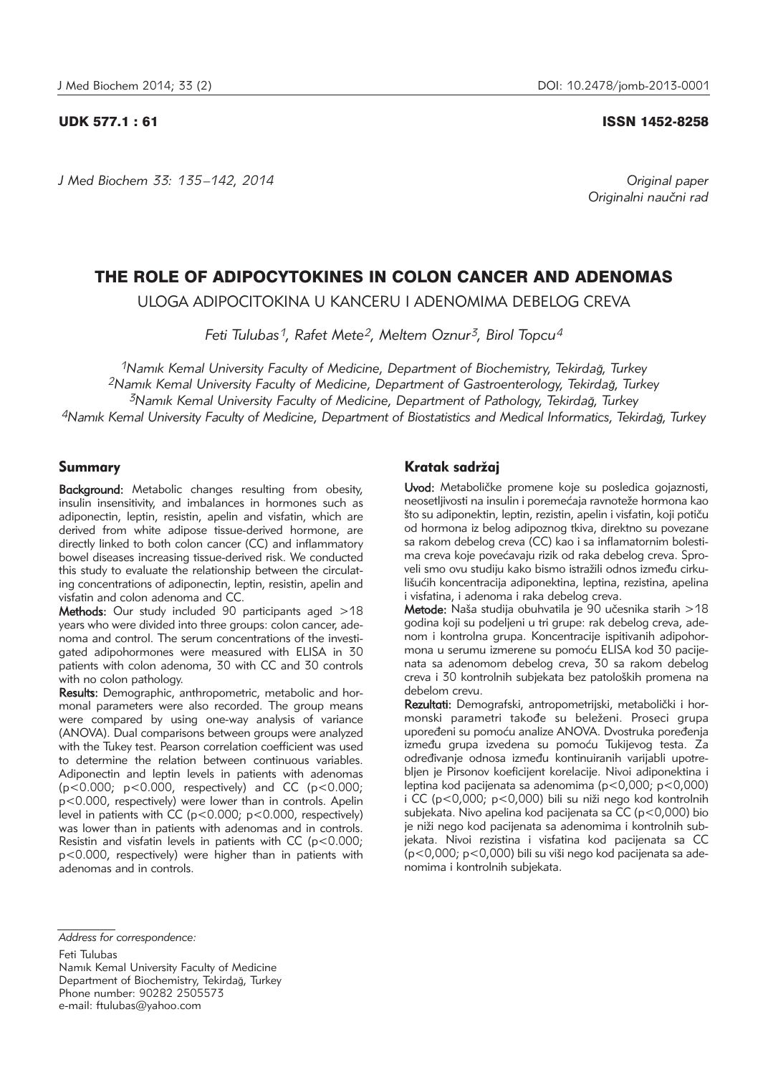*J Med Biochem 33: 135 –142, 2014 Original paper*

#### UDK 577.1 : 61 ISSN 1452-8258

Originalni naučni rad

# THE ROLE OF ADIPOCYTOKINES IN COLON CANCER AND ADENOMAS

ULOGA ADIPOCITOKINA U KANCERU I ADENOMIMA DEBELOG CREVA

*Feti Tulubas1, Rafet Mete2, Meltem Oznur3, Birol Topcu4*

*1Namık Kemal University Faculty of Medicine, Department of Biochemistry, Tekirdağ, Turkey 2Namık Kemal University Faculty of Medicine, Department of Gastroenterology, Tekirdağ, Turkey 3Namık Kemal University Faculty of Medicine, Department of Pathology, Tekirdağ, Turkey 4Namık Kemal University Faculty of Medicine, Department of Biostatistics and Medical Informatics, Tekirdağ, Turkey*

## Summary

Background: Metabolic changes resulting from obesity, insulin insensitivity, and imbalances in hormones such as adiponectin, leptin, resistin, apelin and visfatin, which are derived from white adipose tissue-derived hormone, are directly linked to both colon cancer (CC) and inflammatory bowel diseases increasing tissue-derived risk. We conducted this study to evaluate the relationship between the circulating concentrations of adiponectin, leptin, resistin, apelin and visfatin and colon adenoma and CC.

Methods: Our study included 90 participants aged >18 years who were divided into three groups: colon cancer, adenoma and control. The serum concentrations of the investigated adipohormones were measured with ELISA in 30 patients with colon adenoma, 30 with CC and 30 controls with no colon pathology.

Results: Demographic, anthropometric, metabolic and hormonal parameters were also recorded. The group means were compared by using one-way analysis of variance (ANOVA). Dual comparisons between groups were analyzed with the Tukey test. Pearson correlation coefficient was used to determine the relation between continuous variables. Adiponectin and leptin levels in patients with adenomas (p<0.000; p<0.000, respectively) and CC (p<0.000; p<0.000, respectively) were lower than in controls. Apelin level in patients with CC (p<0.000; p<0.000, respectively) was lower than in patients with adenomas and in controls. Resistin and visfatin levels in patients with CC (p<0.000; p<0.000, respectively) were higher than in patients with adenomas and in controls.

# Kratak sadržaj

Uvod: Metaboličke promene koje su posledica gojaznosti, neosetljivosti na insulin i poremećaja ravnoteže hormona kao što su adiponektin, leptin, rezistin, apelin i visfatin, koji potiču od hormona iz belog adipoznog tkiva, direktno su povezane sa rakom debelog creva (CC) kao i sa inflamatornim bolestima creva koje povećavaju rizik od raka debelog creva. Sproveli smo ovu studiju kako bismo istražili odnos između cirkulišućih koncentracija adiponektina, leptina, rezistina, apelina i visfatina, i adenoma i raka debelog creva.

Metode: Naša studija obuhvatila je 90 učesnika starih  $>18$ godina koji su podeljeni u tri grupe: rak debelog creva, adenom i kontrolna grupa. Koncentracije ispitivanih adipohormona u serumu izmerene su pomoću ELISA kod 30 pacijenata sa adenomom debelog creva, 30 sa rakom debelog creva i 30 kontrolnih subjekata bez patoloških promena na debelom crevu.

Rezultati: Demografski, antropometrijski, metabolički i hormonski parametri takođe su beleženi. Proseci grupa upoređeni su pomoću analize ANOVA. Dvostruka poređenja između grupa izvedena su pomoću Tukijevog testa. Za određivanje odnosa između kontinuiranih varijabli upotrebljen je Pirsonov koeficijent korelacije. Nivoi adiponektina i leptina kod pacijenata sa adenomima (p<0,000; p<0,000) i CC ( $p < 0,000$ ;  $p < 0,000$ ) bili su niži nego kod kontrolnih subjekata. Nivo apelina kod pacijenata sa CC (p<0,000) bio je niži nego kod pacijenata sa adenomima i kontrolnih subjekata. Nivoi rezistina i visfatina kod pacijenata sa CC  $(p<0.000; p<0.000)$  bili su viši nego kod pacijenata sa adenomima i kontrolnih subjekata.

Feti Tulubas

Namık Kemal University Faculty of Medicine Department of Biochemistry, Tekirdağ, Turkey Phone number: 90282 2505573 e-mail: ftulubas@yahoo.com

*Address for correspondence:*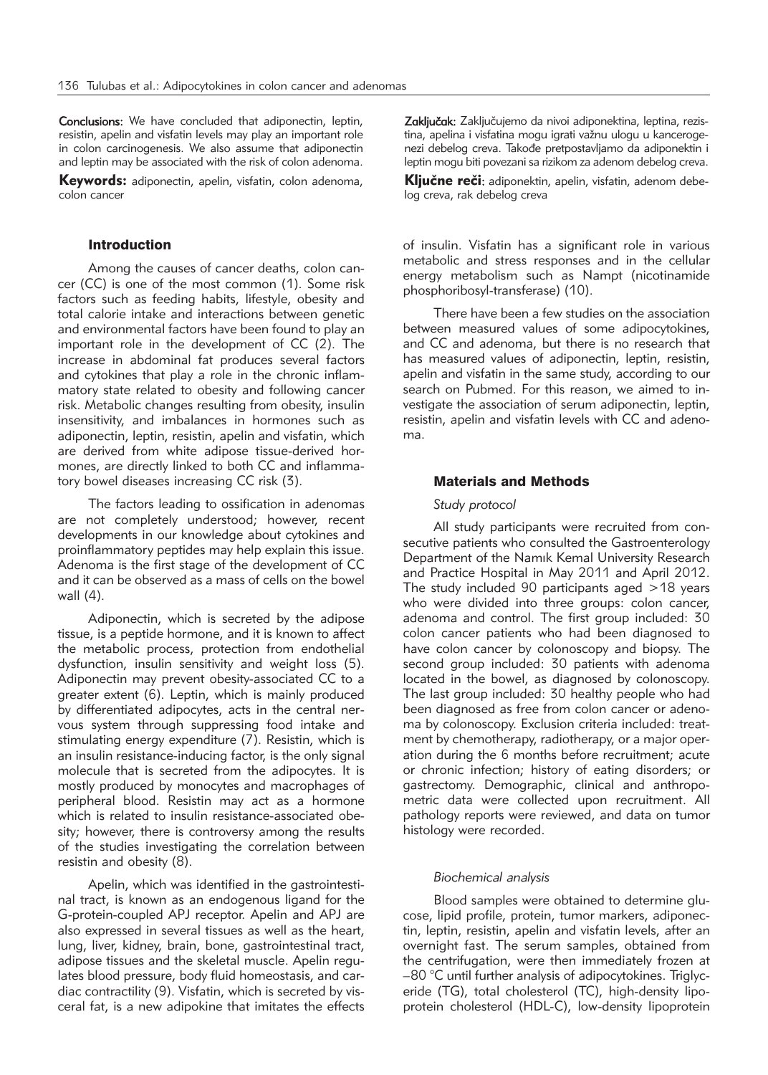Conclusions: We have concluded that adiponectin, leptin, resistin, apelin and visfatin levels may play an important role in colon carcinogenesis. We also assume that adiponectin and leptin may be associated with the risk of colon adenoma.

Keywords: adiponectin, apelin, visfatin, colon adenoma, colon cancer

### Introduction

Among the causes of cancer deaths, colon cancer (CC) is one of the most common (1). Some risk factors such as feeding habits, lifestyle, obesity and total calorie intake and interactions between genetic and environmental factors have been found to play an important role in the development of CC (2). The increase in abdominal fat produces several factors and cytokines that play a role in the chronic inflammatory state related to obesity and following cancer risk. Metabolic changes resulting from obesity, insulin insensitivity, and imbalances in hormones such as adiponectin, leptin, resistin, apelin and visfatin, which are derived from white adipose tissue-derived hormones, are directly linked to both CC and inflammatory bowel diseases increasing CC risk (3).

The factors leading to ossification in adenomas are not completely understood; however, recent developments in our knowledge about cytokines and proinflammatory peptides may help explain this issue. Adenoma is the first stage of the development of CC and it can be observed as a mass of cells on the bowel wall (4).

Adiponectin, which is secreted by the adipose tissue, is a peptide hormone, and it is known to affect the metabolic process, protection from endothelial dysfunction, insulin sensitivity and weight loss (5). Adiponectin may prevent obesity-associated CC to a greater extent (6). Leptin, which is mainly produced by differentiated adipocytes, acts in the central nervous system through suppressing food intake and stimulating energy expenditure (7). Resistin, which is an insulin resistance-inducing factor, is the only signal molecule that is secreted from the adipocytes. It is mostly produced by monocytes and macrophages of peripheral blood. Resistin may act as a hormone which is related to insulin resistance-associated obesity; however, there is controversy among the results of the studies investigating the correlation between resistin and obesity (8).

Apelin, which was identified in the gastrointestinal tract, is known as an endogenous ligand for the G-protein-coupled APJ receptor. Apelin and APJ are also expressed in several tissues as well as the heart, lung, liver, kidney, brain, bone, gastrointestinal tract, adipose tissues and the skeletal muscle. Apelin regulates blood pressure, body fluid homeostasis, and cardiac contractility (9). Visfatin, which is secreted by visceral fat, is a new adipokine that imitates the effects

Zaključak: Zaključujemo da nivoi adiponektina, leptina, rezistina, apelina i visfatina mogu igrati važnu ulogu u kancerogenezi debelog creva. Takođe pretpostavljamo da adiponektin i leptin mogu biti povezani sa rizikom za adenom debelog creva.

Ključne reči: adiponektin, apelin, visfatin, adenom debelog creva, rak debelog creva

of insulin. Visfatin has a significant role in various metabolic and stress responses and in the cellular energy metabolism such as Nampt (nicotinamide phosphoribosyl-transferase) (10).

There have been a few studies on the association between measured values of some adipocytokines, and CC and adenoma, but there is no research that has measured values of adiponectin, leptin, resistin, apelin and visfatin in the same study, according to our search on Pubmed. For this reason, we aimed to investigate the association of serum adiponectin, leptin, resistin, apelin and visfatin levels with CC and adenoma.

#### Materials and Methods

#### *Study protocol*

All study participants were recruited from consecutive patients who consulted the Gastroenterology Department of the Namık Kemal University Research and Practice Hospital in May 2011 and April 2012. The study included 90 participants aged >18 years who were divided into three groups: colon cancer, adenoma and control. The first group included: 30 colon cancer patients who had been diagnosed to have colon cancer by colonoscopy and biopsy. The second group included: 30 patients with adenoma located in the bowel, as diagnosed by colonoscopy. The last group included: 30 healthy people who had been diagnosed as free from colon cancer or adenoma by colonoscopy. Exclusion criteria included: treatment by chemotherapy, radiotherapy, or a major operation during the 6 months before recruitment; acute or chronic infection; history of eating disorders; or gastrectomy. Demographic, clinical and anthropometric data were collected upon recruitment. All pathology reports were reviewed, and data on tumor histology were recorded.

#### *Biochemical analysis*

Blood samples were obtained to determine glucose, lipid profile, protein, tumor markers, adiponectin, leptin, resistin, apelin and visfatin levels, after an overnight fast. The serum samples, obtained from the centrifugation, were then immediately frozen at  $-80$  °C until further analysis of adipocytokines. Triglyceride (TG), total cholesterol (TC), high-density lipoprotein cholesterol (HDL-C), low-density lipoprotein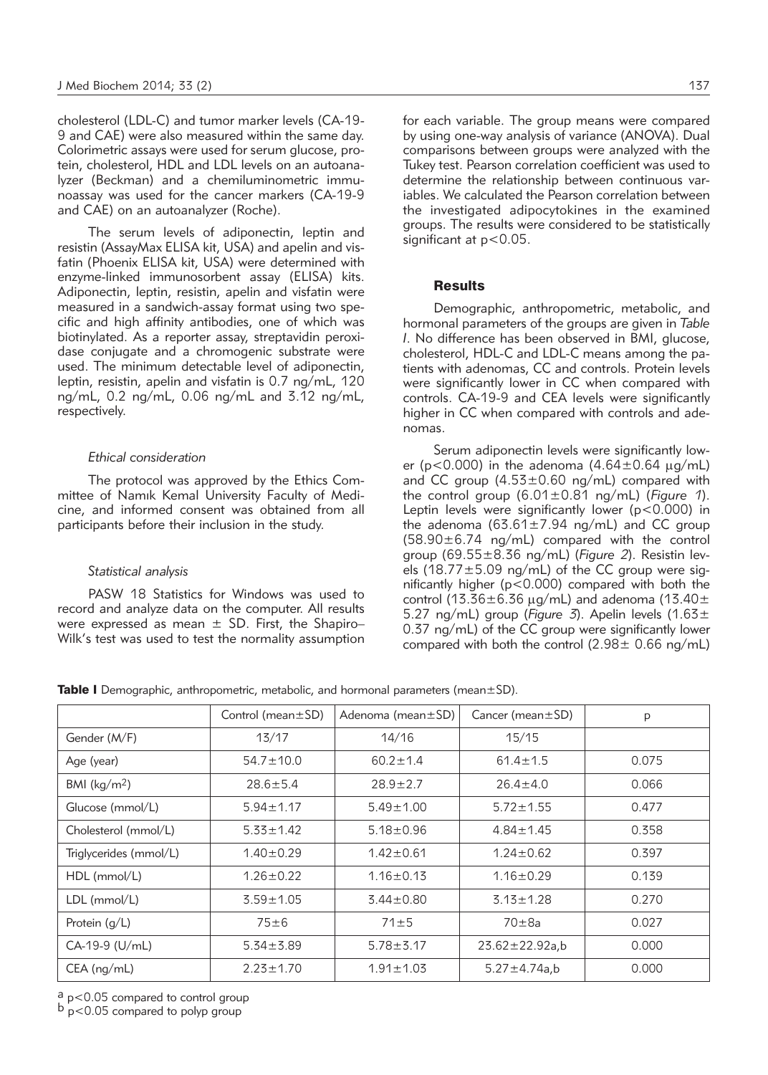cholesterol (LDL-C) and tumor marker levels (CA-19- 9 and CAE) were also measured within the same day. Colorimetric assays were used for serum glucose, protein, cholesterol, HDL and LDL levels on an autoanalyzer (Beckman) and a chemiluminometric immunoassay was used for the cancer markers (CA-19-9 and CAE) on an autoanalyzer (Roche).

The serum levels of adiponectin, leptin and resistin (AssayMax ELISA kit, USA) and apelin and visfatin (Phoenix ELISA kit, USA) were determined with enzyme-linked immunosorbent assay (ELISA) kits. Adiponectin, leptin, resistin, apelin and visfatin were measured in a sandwich-assay format using two specific and high affinity antibodies, one of which was biotinylated. As a reporter assay, streptavidin peroxidase conjugate and a chromogenic substrate were used. The minimum detectable level of adiponectin, leptin, resistin, apelin and visfatin is 0.7 ng/mL, 120 ng/mL, 0.2 ng/mL, 0.06 ng/mL and 3.12 ng/mL, respectively.

#### *Ethical consideration*

The protocol was approved by the Ethics Committee of Namık Kemal University Faculty of Medicine, and informed consent was obtained from all participants before their inclusion in the study.

#### *Statistical analysis*

PASW 18 Statistics for Windows was used to record and analyze data on the computer. All results were expressed as mean  $\pm$  SD. First, the Shapiro– Wilk's test was used to test the normality assumption for each variable. The group means were compared by using one-way analysis of variance (ANOVA). Dual comparisons between groups were analyzed with the Tukey test. Pearson correlation coefficient was used to determine the relationship between continuous variables. We calculated the Pearson correlation between the investigated adipocytokines in the examined groups. The results were considered to be statistically significant at  $p < 0.05$ .

#### **Results**

Demographic, anthropometric, metabolic, and hormonal parameters of the groups are given in *Table I*. No difference has been observed in BMI, glucose, cholesterol, HDL-C and LDL-C means among the patients with adenomas, CC and controls. Protein levels were significantly lower in CC when compared with controls. CA-19-9 and CEA levels were significantly higher in CC when compared with controls and adenomas.

Serum adiponectin levels were significantly lower ( $p < 0.000$ ) in the adenoma  $(4.64 \pm 0.64 \,\mu\text{g/mL})$ and CC group  $(4.53\pm0.60 \text{ ng/mL})$  compared with the control group (6.01±0.81 ng/mL) (*Figure 1*). Leptin levels were significantly lower (p<0.000) in the adenoma  $(63.61 \pm 7.94 \text{ ng/mL})$  and CC group (58.90±6.74 ng/mL) compared with the control group (69.55±8.36 ng/mL) (*Figure 2*). Resistin levels (18.77 $\pm$ 5.09 ng/mL) of the CC group were significantly higher (p<0.000) compared with both the control (13.36 $\pm$ 6.36 µg/mL) and adenoma (13.40 $\pm$ 5.27 ng/mL) group (Figure 3). Apelin levels  $(1.63 \pm$ 0.37 ng/mL) of the CC group were significantly lower compared with both the control  $(2.98\pm 0.66 \text{ ng/mL})$ 

**Table I** Demographic, anthropometric, metabolic, and hormonal parameters (mean $\pm$ SD).

|                         | Control (mean $\pm$ SD) | Adenoma (mean ± SD) | Cancer (mean $\pm$ SD) | p     |
|-------------------------|-------------------------|---------------------|------------------------|-------|
| Gender (M/F)            | 13/17                   | 14/16               | 15/15                  |       |
| Age (year)              | $54.7 \pm 10.0$         | $60.2 \pm 1.4$      | $61.4 \pm 1.5$         | 0.075 |
| BMI ( $\text{kg/m}^2$ ) | $28.6 \pm 5.4$          | $28.9 + 2.7$        | $26.4 \pm 4.0$         | 0.066 |
| Glucose (mmol/L)        | $5.94 \pm 1.17$         | $5.49 \pm 1.00$     | $5.72 \pm 1.55$        | 0.477 |
| Cholesterol (mmol/L)    | $5.33 \pm 1.42$         | $5.18 \pm 0.96$     | $4.84 \pm 1.45$        | 0.358 |
| Triglycerides (mmol/L)  | $1.40 \pm 0.29$         | $1.42 \pm 0.61$     | $1.24 \pm 0.62$        | 0.397 |
| HDL (mmol/L)            | $1.26 \pm 0.22$         | $1.16 \pm 0.13$     | $1.16 \pm 0.29$        | 0.139 |
| $LDL$ (mmol/L)          | $3.59 \pm 1.05$         | $3.44 \pm 0.80$     | $3.13 \pm 1.28$        | 0.270 |
| Protein $(q/L)$         | $75 \pm 6$              | $71 \pm 5$          | $70\pm 8a$             | 0.027 |
| CA-19-9 (U/mL)          | $5.34 \pm 3.89$         | $5.78 \pm 3.17$     | $23.62 \pm 22.92a$ ,b  | 0.000 |
| $CEA$ (ng/mL)           | $2.23 \pm 1.70$         | $1.91 \pm 1.03$     | $5.27 \pm 4.74a$ ,b    | 0.000 |

 $\frac{a}{b}$  p<0.05 compared to control group<br> $\frac{b}{p}$  p<0.05 compared to polyp group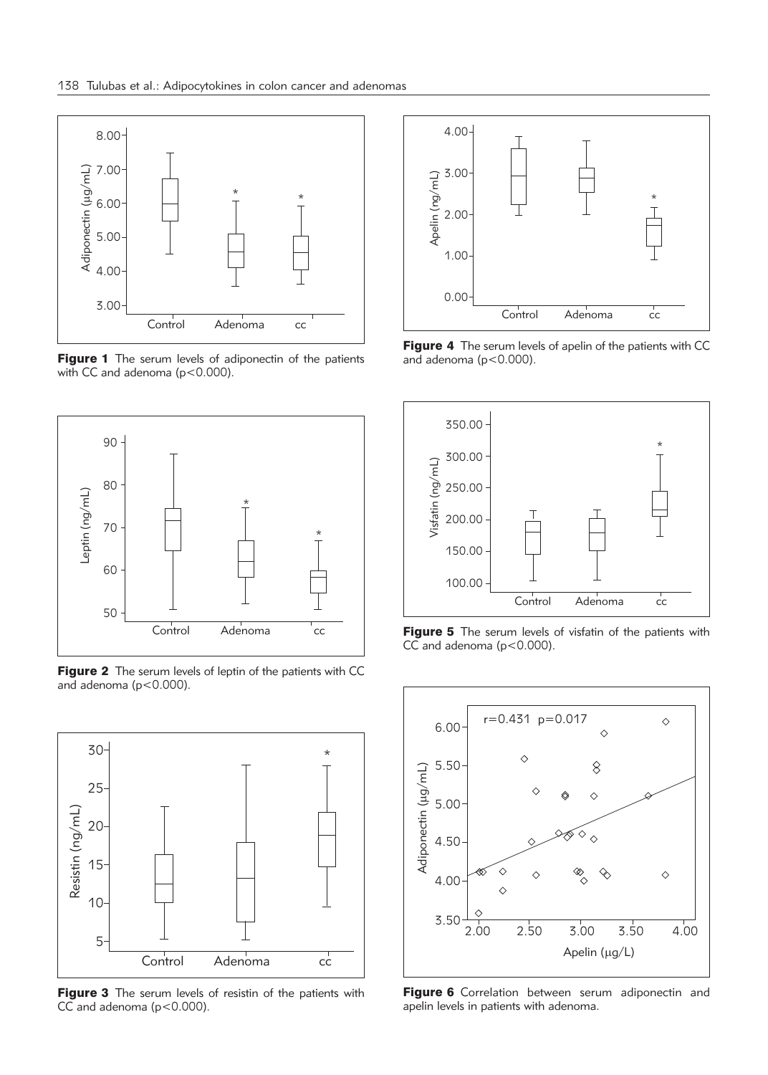

Figure 1 The serum levels of adiponectin of the patients with CC and adenoma (p<0.000).



Figure 2 The serum levels of leptin of the patients with CC and adenoma (p<0.000).



Figure 3 The serum levels of resistin of the patients with CC and adenoma ( $p < 0.000$ ).



Figure 4 The serum levels of apelin of the patients with CC and adenoma ( $p < 0.000$ ).



Figure 5 The serum levels of visfatin of the patients with  $CC$  and adenoma ( $p < 0.000$ ).



Figure 6 Correlation between serum adiponectin and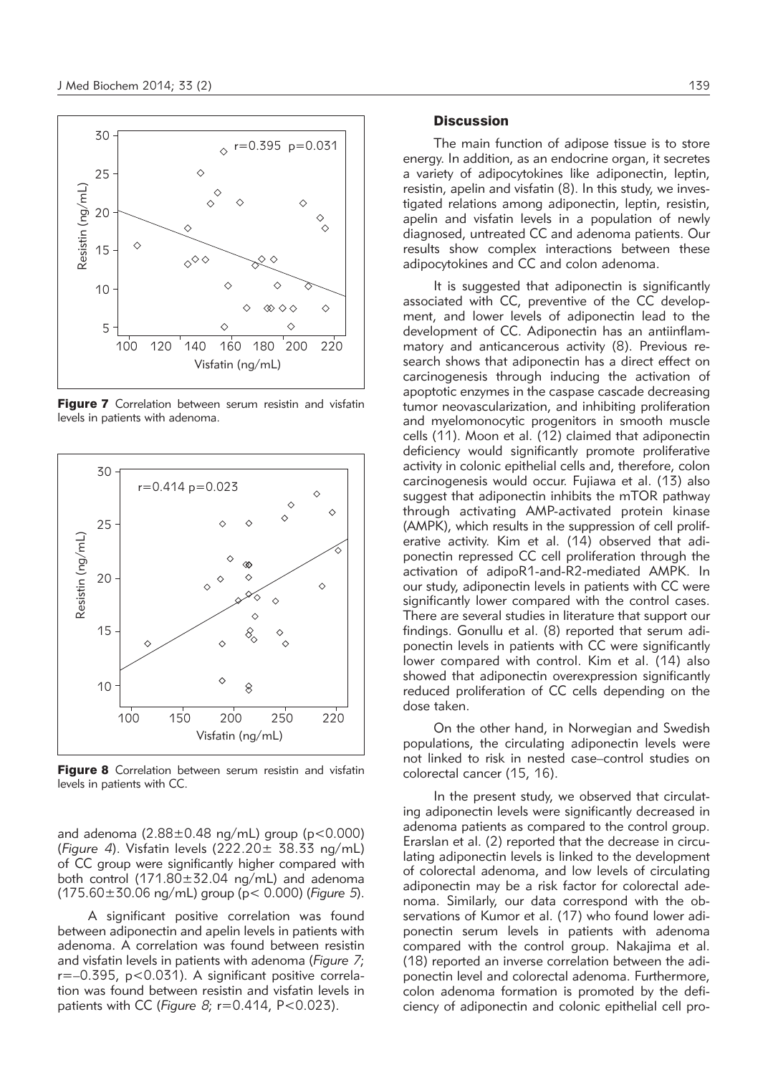

Figure 7 Correlation between serum resistin and visfatin



Figure 8 Correlation between serum resistin and visfatin

and adenoma  $(2.88 \pm 0.48 \text{ ng/mL})$  group (p<0.000) (*Figure 4*). Visfatin levels (222.20± 38.33 ng/mL) of CC group were significantly higher compared with both control (171.80±32.04 ng/mL) and adenoma (175.60±30.06 ng/mL) group (p< 0.000) (*Figure 5*).

A significant positive correlation was found between adiponectin and apelin levels in patients with adenoma. A correlation was found between resistin and visfatin levels in patients with adenoma (*Figure 7*; r=–0.395, p<0.031). A significant positive correlation was found between resistin and visfatin levels in patients with CC (*Figure 8*; r=0.414, P<0.023).

### **Discussion**

The main function of adipose tissue is to store energy. In addition, as an endocrine organ, it secretes a variety of adipocytokines like adiponectin, leptin, resistin, apelin and visfatin (8). In this study, we investigated relations among adiponectin, leptin, resistin, apelin and visfatin levels in a population of newly diagnosed, untreated CC and adenoma patients. Our results show complex interactions between these adipocytokines and CC and colon adenoma.

It is suggested that adiponectin is significantly associated with CC, preventive of the CC development, and lower levels of adiponectin lead to the development of CC. Adiponectin has an antiinflammatory and anticancerous activity (8). Previous research shows that adiponectin has a direct effect on carcinogenesis through inducing the activation of apoptotic enzymes in the caspase cascade decreasing tumor neovascularization, and inhibiting proliferation and myelomonocytic progenitors in smooth muscle cells (11). Moon et al. (12) claimed that adiponectin deficiency would significantly promote proliferative activity in colonic epithelial cells and, therefore, colon carcinogenesis would occur. Fujiawa et al. (13) also suggest that adiponectin inhibits the mTOR pathway through activating AMP-activated protein kinase (AMPK), which results in the suppression of cell proliferative activity. Kim et al. (14) observed that adiponectin repressed CC cell proliferation through the activation of adipoR1-and-R2-mediated AMPK. In our study, adiponectin levels in patients with CC were significantly lower compared with the control cases. There are several studies in literature that support our findings. Gonullu et al. (8) reported that serum adiponectin levels in patients with CC were significantly lower compared with control. Kim et al. (14) also showed that adiponectin overexpression significantly reduced proliferation of CC cells depending on the dose taken.

On the other hand, in Norwegian and Swedish populations, the circulating adiponectin levels were not linked to risk in nested case–control studies on colorectal cancer (15, 16).

In the present study, we observed that circulating adiponectin levels were significantly decreased in adenoma patients as compared to the control group. Erarslan et al. (2) reported that the decrease in circulating adiponectin levels is linked to the development of colorectal adenoma, and low levels of circulating adiponectin may be a risk factor for colorectal adenoma. Similarly, our data correspond with the observations of Kumor et al. (17) who found lower adipo nectin serum levels in patients with adenoma com pared with the control group. Nakajima et al. (18) reported an inverse correlation between the adiponectin level and colorectal adenoma. Furthermore, colon adenoma formation is promoted by the deficiency of adiponectin and colonic epithelial cell pro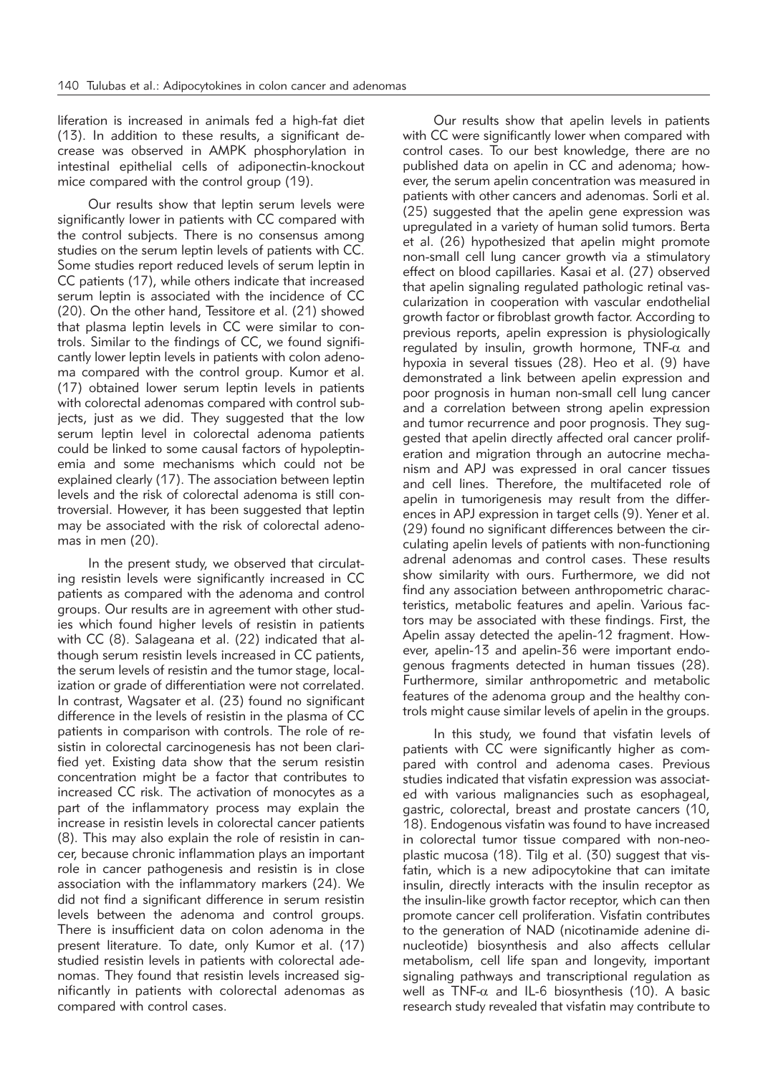liferation is increased in animals fed a high-fat diet (13). In addition to these results, a significant decrease was observed in AMPK phosphorylation in intestinal epithelial cells of adiponectin-knockout mice compared with the control group (19).

Our results show that leptin serum levels were significantly lower in patients with CC compared with the control subjects. There is no consensus among studies on the serum leptin levels of patients with CC. Some studies report reduced levels of serum leptin in CC patients (17), while others indicate that increased serum leptin is associated with the incidence of CC (20). On the other hand, Tessitore et al. (21) showed that plasma leptin levels in CC were similar to controls. Similar to the findings of CC, we found significantly lower leptin levels in patients with colon adenoma compared with the control group. Kumor et al. (17) obtained lower serum leptin levels in patients with colorectal adenomas compared with control subjects, just as we did. They suggested that the low serum leptin level in colorectal adenoma patients could be linked to some causal factors of hypoleptinemia and some mechanisms which could not be explained clearly (17). The association between leptin levels and the risk of colorectal adenoma is still controversial. However, it has been suggested that leptin may be associated with the risk of colorectal adenomas in men (20).

In the present study, we observed that circulating resistin levels were significantly increased in CC patients as compared with the adenoma and control groups. Our results are in agreement with other studies which found higher levels of resistin in patients with CC (8). Salageana et al. (22) indicated that although serum resistin levels increased in CC patients, the serum levels of resistin and the tumor stage, localization or grade of differentiation were not correlated. In contrast, Wagsater et al. (23) found no significant difference in the levels of resistin in the plasma of CC patients in comparison with controls. The role of resistin in colorectal carcinogenesis has not been clarified yet. Existing data show that the serum resistin concentration might be a factor that contributes to increased CC risk. The activation of monocytes as a part of the inflammatory process may explain the increase in resistin levels in colorectal cancer patients (8). This may also explain the role of resistin in cancer, because chronic inflammation plays an important role in cancer pathogenesis and resistin is in close association with the inflammatory markers (24). We did not find a significant difference in serum resistin levels between the adenoma and control groups. There is insufficient data on colon adenoma in the present literature. To date, only Kumor et al. (17) studied resistin levels in patients with colorectal adenomas. They found that resistin levels increased significantly in patients with colorectal adenomas as compared with control cases.

Our results show that apelin levels in patients with CC were significantly lower when compared with control cases. To our best knowledge, there are no published data on apelin in CC and adenoma; however, the serum apelin concentration was measured in patients with other cancers and adenomas. Sorli et al. (25) suggested that the apelin gene expression was upregulated in a variety of human solid tumors. Berta et al. (26) hypothesized that apelin might promote non-small cell lung cancer growth via a stimulatory effect on blood capillaries. Kasai et al. (27) observed that apelin signaling regulated pathologic retinal vascularization in cooperation with vascular endothelial growth factor or fibroblast growth factor. According to previous reports, apelin expression is physiologically regulated by insulin, growth hormone, TNF- $\alpha$  and hypoxia in several tissues (28). Heo et al. (9) have demonstrated a link between apelin expression and poor prognosis in human non-small cell lung cancer and a correlation between strong apelin expression and tumor recurrence and poor prognosis. They suggested that apelin directly affected oral cancer proliferation and migration through an autocrine mechanism and APJ was expressed in oral cancer tissues and cell lines. Therefore, the multifaceted role of apelin in tumorigenesis may result from the differences in APJ expression in target cells (9). Yener et al. (29) found no significant differences between the circulating apelin levels of patients with non-functioning adrenal adenomas and control cases. These results show similarity with ours. Furthermore, we did not find any association between anthropometric characteristics, metabolic features and apelin. Various factors may be associated with these findings. First, the Apelin assay detected the apelin-12 fragment. However, apelin-13 and apelin-36 were important endogenous fragments detected in human tissues (28). Furthermore, similar anthropometric and metabolic features of the adenoma group and the healthy controls might cause similar levels of apelin in the groups.

In this study, we found that visfatin levels of patients with CC were significantly higher as compared with control and adenoma cases. Previous studies indicated that visfatin expression was associated with various malignancies such as esophageal, gastric, colorectal, breast and prostate cancers (10, 18). Endogenous visfatin was found to have increased in colorectal tumor tissue compared with non-neoplastic mucosa (18). Tilg et al. (30) suggest that visfatin, which is a new adipocytokine that can imitate insulin, directly interacts with the insulin receptor as the insulin-like growth factor receptor, which can then promote cancer cell proliferation. Visfatin contributes to the generation of NAD (nicotinamide adenine dinucleotide) biosynthesis and also affects cellular metabolism, cell life span and longevity, important signaling pathways and transcriptional regulation as well as TNF- $\alpha$  and IL-6 biosynthesis (10). A basic research study revealed that visfatin may contribute to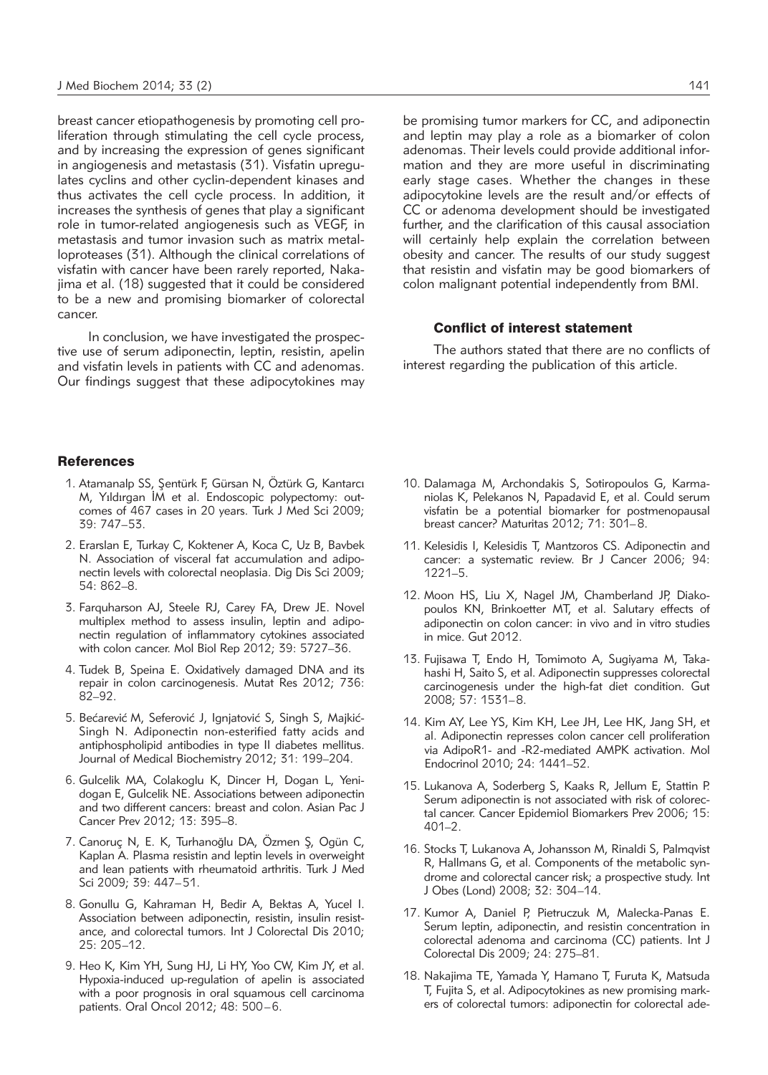breast cancer etiopathogenesis by promoting cell proliferation through stimulating the cell cycle process, and by increasing the expression of genes significant in angiogenesis and metastasis (31). Visfatin upregulates cyclins and other cyclin-dependent kinases and thus activates the cell cycle process. In addition, it increases the synthesis of genes that play a significant role in tumor-related angiogenesis such as VEGF, in metastasis and tumor invasion such as matrix metalloproteases (31). Although the clinical correlations of visfatin with cancer have been rarely reported, Nakajima et al. (18) suggested that it could be considered to be a new and promising biomarker of colorectal cancer.

In conclusion, we have investigated the prospective use of serum adiponectin, leptin, resistin, apelin and visfatin levels in patients with CC and adenomas. Our findings suggest that these adipocytokines may

#### References

- 1. Atamanalp SS, Sentürk F, Gürsan N, Öztürk G, Kantarcı M, Yıldırgan İM et al. Endoscopic polypectomy: outcomes of 467 cases in 20 years. Turk J Med Sci 2009; 39: 747–53.
- 2. Erarslan E, Turkay C, Koktener A, Koca C, Uz B, Bavbek N. Association of visceral fat accumulation and adiponectin levels with colorectal neoplasia. Dig Dis Sci 2009; 54: 862–8.
- 3. Farquharson AJ, Steele RJ, Carey FA, Drew JE. Novel multiplex method to assess insulin, leptin and adiponectin regulation of inflammatory cytokines associated with colon cancer. Mol Biol Rep 2012; 39: 5727–36.
- 4. Tudek B, Speina E. Oxidatively damaged DNA and its repair in colon carcinogenesis. Mutat Res 2012; 736: 82–92.
- 5. Bećarević M, Seferović J, Ignjatović S, Singh S, Majkić-Singh N. Adiponectin non-esterified fatty acids and antiphospholipid antibodies in type II diabetes mellitus. Journal of Medical Biochemistry 2012; 31: 199–204.
- 6. Gulcelik MA, Colakoglu K, Dincer H, Dogan L, Yenidogan E, Gulcelik NE. Associations between adiponectin and two different cancers: breast and colon. Asian Pac J Cancer Prev 2012; 13: 395–8.
- 7. Canoruç N, E. K, Turhanoğlu DA, Özmen Ş, Ogün C, Kaplan A. Plasma resistin and leptin levels in overweight and lean patients with rheumatoid arthritis. Turk J Med Sci 2009; 39: 447–51.
- 8. Gonullu G, Kahraman H, Bedir A, Bektas A, Yucel I. Association between adiponectin, resistin, insulin resistance, and colorectal tumors. Int J Colorectal Dis 2010; 25: 205–12.
- 9. Heo K, Kim YH, Sung HJ, Li HY, Yoo CW, Kim JY, et al. Hypoxia-induced up-regulation of apelin is associated with a poor prognosis in oral squamous cell carcinoma patients. Oral Oncol 2012; 48: 500–6.

be promising tumor markers for CC, and adiponectin and leptin may play a role as a biomarker of colon adenomas. Their levels could provide additional information and they are more useful in discriminating early stage cases. Whether the changes in these adipocytokine levels are the result and/or effects of CC or adenoma development should be investigated further, and the clarification of this causal association will certainly help explain the correlation between obesity and cancer. The results of our study suggest that resistin and visfatin may be good biomarkers of colon malignant potential independently from BMI.

#### Conflict of interest statement

The authors stated that there are no conflicts of interest regarding the publication of this article.

- 10. Dalamaga M, Archondakis S, Sotiropoulos G, Karmaniolas K, Pelekanos N, Papadavid E, et al. Could serum visfatin be a potential biomarker for postmenopausal breast cancer? Maturitas 2012; 71: 301–8.
- 11. Kelesidis I, Kelesidis T, Mantzoros CS. Adiponectin and cancer: a systematic review. Br J Cancer 2006; 94: 1221–5.
- 12. Moon HS, Liu X, Nagel JM, Chamberland JP, Diakopoulos KN, Brinkoetter MT, et al. Salutary effects of adiponectin on colon cancer: in vivo and in vitro studies in mice. Gut 2012.
- 13. Fujisawa T, Endo H, Tomimoto A, Sugiyama M, Takahashi H, Saito S, et al. Adiponectin suppresses colorectal carcinogenesis under the high-fat diet condition. Gut 2008; 57: 1531–8.
- 14. Kim AY, Lee YS, Kim KH, Lee JH, Lee HK, Jang SH, et al. Adiponectin represses colon cancer cell proliferation via AdipoR1- and -R2-mediated AMPK activation. Mol Endocrinol 2010; 24: 1441-52.
- 15. Lukanova A, Soderberg S, Kaaks R, Jellum E, Stattin P. Serum adiponectin is not associated with risk of colorectal cancer. Cancer Epidemiol Biomarkers Prev 2006; 15: 401–2.
- 16. Stocks T, Lukanova A, Johansson M, Rinaldi S, Palmqvist R, Hallmans G, et al. Components of the metabolic syndrome and colorectal cancer risk; a prospective study. Int J Obes (Lond) 2008; 32: 304–14.
- 17. Kumor A, Daniel P, Pietruczuk M, Malecka-Panas E. Serum leptin, adiponectin, and resistin concentration in colorectal adenoma and carcinoma (CC) patients. Int J Colorectal Dis 2009; 24: 275–81.
- 18. Nakajima TE, Yamada Y, Hamano T, Furuta K, Matsuda T, Fujita S, et al. Adipocytokines as new promising markers of colorectal tumors: adiponectin for colorectal ade-